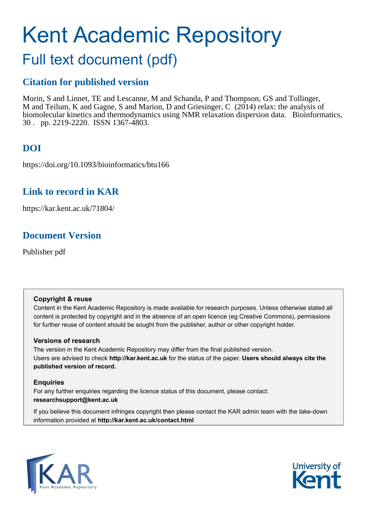# Kent Academic Repository

## Full text document (pdf)

## **Citation for published version**

Morin, S and Linnet, TE and Lescanne, M and Schanda, P and Thompson, GS and Tollinger, M and Teilum, K and Gagne, S and Marion, D and Griesinger, C (2014) relax: the analysis of biomolecular kinetics and thermodynamics using NMR relaxation dispersion data. Bioinformatics, 30 . pp. 2219-2220. ISSN 1367-4803.

## **DOI**

https://doi.org/10.1093/bioinformatics/btu166

### **Link to record in KAR**

https://kar.kent.ac.uk/71804/

## **Document Version**

Publisher pdf

#### **Copyright & reuse**

Content in the Kent Academic Repository is made available for research purposes. Unless otherwise stated all content is protected by copyright and in the absence of an open licence (eg Creative Commons), permissions for further reuse of content should be sought from the publisher, author or other copyright holder.

#### **Versions of research**

The version in the Kent Academic Repository may differ from the final published version. Users are advised to check **http://kar.kent.ac.uk** for the status of the paper. **Users should always cite the published version of record.**

#### **Enquiries**

For any further enquiries regarding the licence status of this document, please contact: **researchsupport@kent.ac.uk**

If you believe this document infringes copyright then please contact the KAR admin team with the take-down information provided at **http://kar.kent.ac.uk/contact.html**



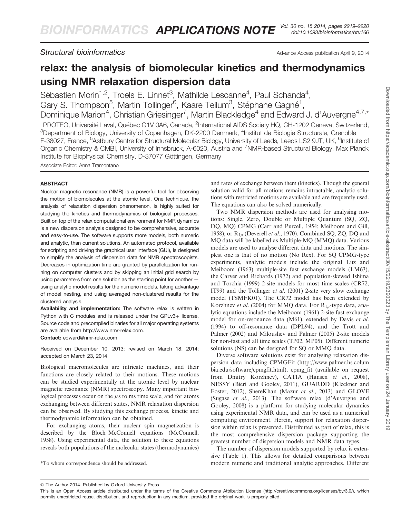<span id="page-1-0"></span>**Structural bioinformatics** Advance Access publication April 9, 2014

## relax: the analysis of biomolecular kinetics and thermodynamics using NMR relaxation dispersion data

Sébastien Morin<sup>1,2</sup>, Troels E. Linnet<sup>3</sup>, Mathilde Lescanne<sup>4</sup>, Paul Schanda<sup>4</sup>, Gary S. Thompson<sup>5</sup>, Martin Tollinger<sup>6</sup>, Kaare Teilum<sup>3</sup>, Stéphane Gagné<sup>1</sup>, Dominique Marion<sup>4</sup>, Christian Griesinger<sup>7</sup>, Martin Blackledge<sup>4</sup> and Edward J. d'Auvergne<sup>4,7,\*</sup> <sup>1</sup>PROTEO, Université Laval, Québec G1V 0A6, Canada, <sup>2</sup>International AIDS Society HQ, CH-1202 Geneva, Switzerland,  ${}^{3}$ Department of Biology, University of Copenhagen, DK-2200 Denmark,  ${}^{4}$ Institut de Biologie Structurale, Grenoble F-38027, France, <sup>5</sup>Astbury Centre for Structural Molecular Biology, University of Leeds, Leeds LS2 9JT, UK, <sup>6</sup>Institute of Organic Chemistry & CMBI, University of Innsbruck, A-6020, Austria and <sup>7</sup>NMR-based Structural Biology, Max Planck Institute for Biophysical Chemistry, D-37077 Göttingen, Germany

Associate Editor: Anna Tramontano

#### ABSTRACT

Nuclear magnetic resonance (NMR) is a powerful tool for observing the motion of biomolecules at the atomic level. One technique, the analysis of relaxation dispersion phenomenon, is highly suited for studying the kinetics and thermodynamics of biological processes. Built on top of the relax computational environment for NMR dynamics is a new dispersion analysis designed to be comprehensive, accurate and easy-to-use. The software supports more models, both numeric and analytic, than current solutions. An automated protocol, available for scripting and driving the graphical user interface (GUI), is designed to simplify the analysis of dispersion data for NMR spectroscopists. Decreases in optimization time are granted by parallelization for running on computer clusters and by skipping an initial grid search by using parameters from one solution as the starting point for another using analytic model results for the numeric models, taking advantage of model nesting, and using averaged non-clustered results for the clustered analysis.

Availability and implementation: The software relax is written in Python with C modules and is released under the GPLv3+ license. Source code and precompiled binaries for all major operating systems are available from [http://www.nmr-relax.com.](http://www.nmr-relax.com)

Contact: [edward@nmr-relax.com](mailto:edward@nmr-relax.com)

Received on December 10, 2013; revised on March 18, 2014; accepted on March 23, 2014

Biological macromolecules are intricate machines, and their functions are closely related to their motions. These motions can be studied experimentally at the atomic level by nuclear magnetic resonance (NMR) spectroscopy. Many important biological processes occur on the  $\mu$ s to ms time scale, and for atoms exchanging between different states, NMR relaxation dispersion can be observed. By studying this exchange process, kinetic and thermodynamic information can be obtained.

For exchanging atoms, their nuclear spin magnetization is described by the Bloch–McConnell equations (McConnell, 1958). Using experimental data, the solution to these equations reveals both populations of the molecular states (thermodynamics)

and rates of exchange between them (kinetics). Though the general solution valid for all motions remains intractable, analytic solutions with restricted motions are available and are frequently used. The equations can also be solved numerically.

Two NMR dispersion methods are used for analysing motions: Single, Zero, Double or Multiple Quantum (SQ, ZQ, DQ, MQ) CPMG (Carr and Purcell, 1954; Meiboom and Gill, 1958); or  $R_{10}$  (Deverell *et al.*, 1970). Combined SQ, ZQ, DQ and MQ data will be labelled as Multiple-MQ (MMQ) data. Various models are used to analyse different data and motions. The simplest one is that of no motion (No Rex). For SQ CPMG-type experiments, analytic models include the original Luz and Meiboom (1963) multiple-site fast exchange models (LM63), the Carver and Richards (1972) and population-skewed Ishima and Torchia (1999) 2-site models for most time scales (CR72, IT99) and the Tollinger et al. (2001) 2-site very slow exchange model (TSMFK01). The CR72 model has been extended by Korzhnev et al. (2004) for MMQ data. For  $R_{10}$ -type data, analytic equations include the Meiboom (1961) 2-site fast exchange model for on-resonance data (M61), extended by Davis et al. (1994) to off-resonance data (DPL94), and the Trott and Palmer (2002) and Miloushev and Palmer (2005) 2-site models for non-fast and all time scales (TP02, MP05). Different numeric solutions (NS) can be designed for SQ or MMQ data.

Diverse software solutions exist for analysing relaxation dispersion data including CPMGFit [\(http://www.palmer.hs.colum](http://www.palmer.hs.columbia.edu/software/cpmgfit.html) [bia.edu/software/cpmgfit.html\)](http://www.palmer.hs.columbia.edu/software/cpmgfit.html), cpmg\_fit (available on request from Dmitry Korzhnev), CATIA (Hansen et al., 2008), NESSY (Bieri and Gooley, 2011), GUARDD (Kleckner and Foster, 2012), ShereKhan (Mazur et al., 2013) and GLOVE (Sugase et al., 2013). The software relax (d'Auvergne and Gooley, 2008) is a platform for studying molecular dynamics using experimental NMR data, and can be used as a numerical computing environment. Herein, support for relaxation dispersion within relax is presented. Distributed as part of relax, this is the most comprehensive dispersion package supporting the greatest number of dispersion models and NMR data types.

The number of dispersion models supported by relax is extensive (Table 1). This allows for detailed comparisons between \*To whom correspondence should be addressed. modern numeric and traditional analytic approaches. Different

 $© The Author 2014. Published by Oxford University Press$ 

This is an Open Access article distributed under the terms of the Creative Commons Attribution License (http://creativecommons.org/licenses/by/3.0/), which permits unrestricted reuse, distribution, and reproduction in any medium, provided the original work is properly cited.